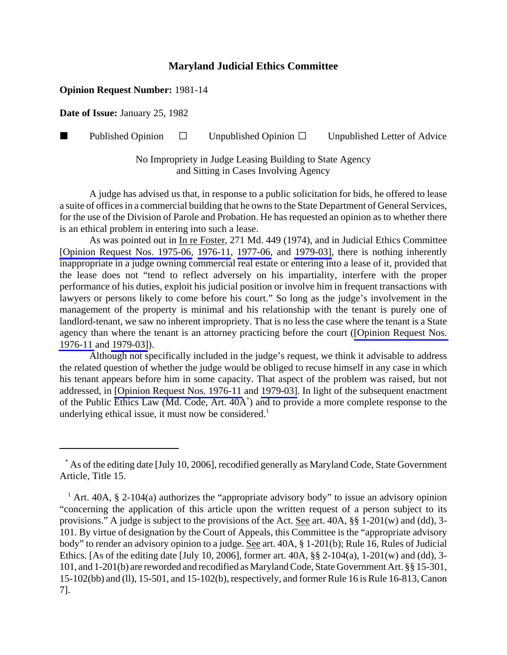## **Maryland Judicial Ethics Committee**

## **Opinion Request Number:** 1981-14

**Date of Issue:** January 25, 1982

**Published Opinion**  $\Box$  Unpublished Opinion  $\Box$  Unpublished Letter of Advice

No Impropriety in Judge Leasing Building to State Agency and Sitting in Cases Involving Agency

A judge has advised us that, in response to a public solicitation for bids, he offered to lease a suite of offices in a commercial building that he owns to the State Department of General Services, for the use of the Division of Parole and Probation. He has requested an opinion as to whether there is an ethical problem in entering into such a lease.

As was pointed out in In re Foster, 271 Md. 449 (1974), and in Judicial Ethics Committee [\[Opinion Request Nos. 1975-06,](http://www.mdcourts.gov/ethics/pdfs/1975-06.pdf) [1976-11,](http://www.mdcourts.gov/ethics/pdfs/1976-11.pdf) [1977-06,](http://www.mdcourts.gov/ethics/pdfs/1977-06.pdf) and [1979-03\],](http://www.mdcourts.gov/ethics/pdfs/1979-03.pdf) there is nothing inherently inappropriate in a judge owning commercial real estate or entering into a lease of it, provided that the lease does not "tend to reflect adversely on his impartiality, interfere with the proper performance of his duties, exploit his judicial position or involve him in frequent transactions with lawyers or persons likely to come before his court." So long as the judge's involvement in the management of the property is minimal and his relationship with the tenant is purely one of landlord-tenant, we saw no inherent impropriety. That is no less the case where the tenant is a State agency than where the tenant is an attorney practicing before the court ([\[Opinion Request Nos.](http://www.mdcourts.gov/ethics/pdfs/1976-11.pdf) [1976-11](http://www.mdcourts.gov/ethics/pdfs/1976-11.pdf) and [1979-03\]](http://www.mdcourts.gov/ethics/pdfs/1979-03.pdf)).

Although not specifically included in the judge's request, we think it advisable to address the related question of whether the judge would be obliged to recuse himself in any case in which his tenant appears before him in some capacity. That aspect of the problem was raised, but not addressed, in [\[Opinion Request Nos. 1976-11](http://www.mdcourts.gov/ethics/pdfs/1976-11.pdf) and [1979-03\]](http://www.mdcourts.gov/ethics/pdfs/1979-03.pdf). In light of the subsequent enactment of the Public Ethics Law (Md. Code, Art. 40A\* ) and to provide a more complete response to the underlying ethical issue, it must now be considered.<sup>1</sup>

 <sup>\*</sup> As of the editing date [July 10, 2006], recodified generally as Maryland Code, State Government Article, Title 15.

<sup>&</sup>lt;sup>1</sup> Art. 40A, § 2-104(a) authorizes the "appropriate advisory body" to issue an advisory opinion "concerning the application of this article upon the written request of a person subject to its provisions." A judge is subject to the provisions of the Act. See art. 40A, §§ 1-201(w) and (dd), 3- 101. By virtue of designation by the Court of Appeals, this Committee is the "appropriate advisory body" to render an advisory opinion to a judge. See art. 40A, § 1-201(b); Rule 16, Rules of Judicial Ethics. [As of the editing date [July 10, 2006], former art. 40A, §§ 2-104(a), 1-201(w) and (dd), 3- 101, and 1-201(b) are reworded and recodified as Maryland Code, State Government Art. §§ 15-301, 15-102(bb) and (ll), 15-501, and 15-102(b), respectively, and former Rule 16 is Rule 16-813, Canon 7].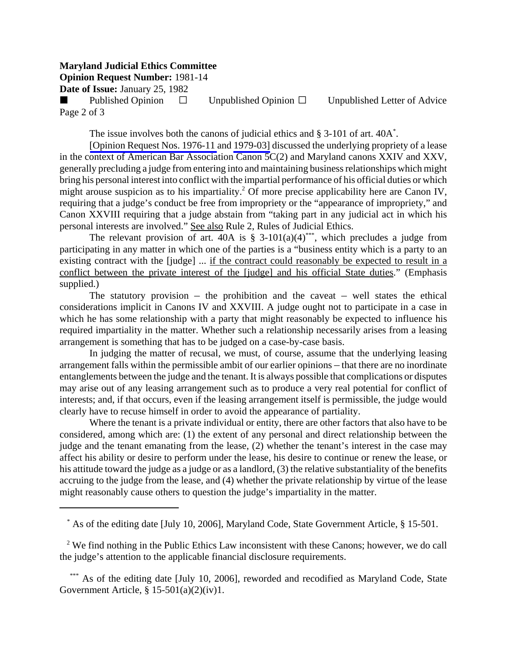## **Maryland Judicial Ethics Committee**

**Opinion Request Number:** 1981-14

**Date of Issue:** January 25, 1982

Published Opinion  $\Box$  Unpublished Opinion  $\Box$  Unpublished Letter of Advice Page 2 of 3

The issue involves both the canons of judicial ethics and § 3-101 of art. 40A<sup>\*</sup>.

[\[Opinion Request Nos. 1976-11](http://www.mdcourts.gov/ethics/pdfs/1976-11.pdf) and [1979-03\]](http://www.mdcourts.gov/ethics/pdfs/1979-03.pdf) discussed the underlying propriety of a lease in the context of American Bar Association Canon 5C(2) and Maryland canons XXIV and XXV, generally precluding a judge from entering into and maintaining business relationships which might bring his personal interest into conflict with the impartial performance of his official duties or which might arouse suspicion as to his impartiality.<sup>2</sup> Of more precise applicability here are Canon IV, requiring that a judge's conduct be free from impropriety or the "appearance of impropriety," and Canon XXVIII requiring that a judge abstain from "taking part in any judicial act in which his personal interests are involved." See also Rule 2, Rules of Judicial Ethics.

The relevant provision of art. 40A is § 3-101(a)(4)\*\*\*, which precludes a judge from participating in any matter in which one of the parties is a "business entity which is a party to an existing contract with the [judge] ... if the contract could reasonably be expected to result in a conflict between the private interest of the [judge] and his official State duties." (Emphasis supplied.)

The statutory provision – the prohibition and the caveat – well states the ethical considerations implicit in Canons IV and XXVIII. A judge ought not to participate in a case in which he has some relationship with a party that might reasonably be expected to influence his required impartiality in the matter. Whether such a relationship necessarily arises from a leasing arrangement is something that has to be judged on a case-by-case basis.

In judging the matter of recusal, we must, of course, assume that the underlying leasing arrangement falls within the permissible ambit of our earlier opinions – that there are no inordinate entanglements between the judge and the tenant. It is always possible that complications or disputes may arise out of any leasing arrangement such as to produce a very real potential for conflict of interests; and, if that occurs, even if the leasing arrangement itself is permissible, the judge would clearly have to recuse himself in order to avoid the appearance of partiality.

Where the tenant is a private individual or entity, there are other factors that also have to be considered, among which are: (1) the extent of any personal and direct relationship between the judge and the tenant emanating from the lease, (2) whether the tenant's interest in the case may affect his ability or desire to perform under the lease, his desire to continue or renew the lease, or his attitude toward the judge as a judge or as a landlord, (3) the relative substantiality of the benefits accruing to the judge from the lease, and (4) whether the private relationship by virtue of the lease might reasonably cause others to question the judge's impartiality in the matter.

\* As of the editing date [July 10, 2006], Maryland Code, State Government Article, § 15-501.

<sup>2</sup> We find nothing in the Public Ethics Law inconsistent with these Canons; however, we do call the judge's attention to the applicable financial disclosure requirements.

\*\*\* As of the editing date [July 10, 2006], reworded and recodified as Maryland Code, State Government Article, § 15-501(a)(2)(iv)1.